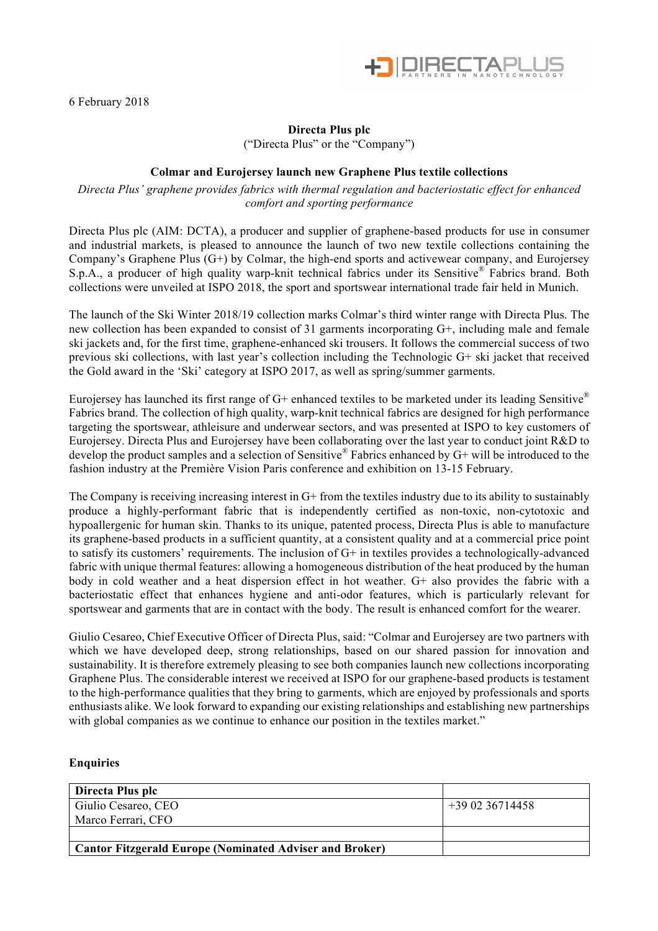

## **Directa Plus plc**

("Directa Plus" or the "Company")

## **Colmar and Eurojersey launch new Graphene Plus textile collections**

*Directa Plus' graphene provides fabrics with thermal regulation and bacteriostatic effect for enhanced comfort and sporting performance*

Directa Plus plc (AIM: DCTA), a producer and supplier of graphene-based products for use in consumer and industrial markets, is pleased to announce the launch of two new textile collections containing the Company's Graphene Plus (G+) by Colmar, the high-end sports and activewear company, and Eurojersey S.p.A., a producer of high quality warp-knit technical fabrics under its Sensitive® Fabrics brand. Both collections were unveiled at ISPO 2018, the sport and sportswear international trade fair held in Munich.

The launch of the Ski Winter 2018/19 collection marks Colmar's third winter range with Directa Plus. The new collection has been expanded to consist of 31 garments incorporating G+, including male and female ski jackets and, for the first time, graphene-enhanced ski trousers. It follows the commercial success of two previous ski collections, with last year's collection including the Technologic G+ ski jacket that received the Gold award in the 'Ski' category at ISPO 2017, as well as spring/summer garments.

Eurojersey has launched its first range of  $G^+$  enhanced textiles to be marketed under its leading Sensitive<sup>®</sup> Fabrics brand. The collection of high quality, warp-knit technical fabrics are designed for high performance targeting the sportswear, athleisure and underwear sectors, and was presented at ISPO to key customers of Eurojersey. Directa Plus and Eurojersey have been collaborating over the last year to conduct joint R&D to develop the product samples and a selection of Sensitive® Fabrics enhanced by G+ will be introduced to the fashion industry at the Première Vision Paris conference and exhibition on 13-15 February.

The Company is receiving increasing interest in G+ from the textiles industry due to its ability to sustainably produce a highly-performant fabric that is independently certified as non-toxic, non-cytotoxic and hypoallergenic for human skin. Thanks to its unique, patented process, Directa Plus is able to manufacture its graphene-based products in a sufficient quantity, at a consistent quality and at a commercial price point to satisfy its customers' requirements. The inclusion of G+ in textiles provides a technologically-advanced fabric with unique thermal features: allowing a homogeneous distribution of the heat produced by the human body in cold weather and a heat dispersion effect in hot weather. G+ also provides the fabric with a bacteriostatic effect that enhances hygiene and anti-odor features, which is particularly relevant for sportswear and garments that are in contact with the body. The result is enhanced comfort for the wearer.

Giulio Cesareo, Chief Executive Officer of Directa Plus, said: "Colmar and Eurojersey are two partners with which we have developed deep, strong relationships, based on our shared passion for innovation and sustainability. It is therefore extremely pleasing to see both companies launch new collections incorporating Graphene Plus. The considerable interest we received at ISPO for our graphene-based products is testament to the high-performance qualities that they bring to garments, which are enjoyed by professionals and sports enthusiasts alike. We look forward to expanding our existing relationships and establishing new partnerships with global companies as we continue to enhance our position in the textiles market."

## **Enquiries**

| Directa Plus plc                                        |                 |
|---------------------------------------------------------|-----------------|
| Giulio Cesareo, CEO                                     | $+390236714458$ |
| Marco Ferrari, CFO                                      |                 |
|                                                         |                 |
| Cantor Fitzgerald Europe (Nominated Adviser and Broker) |                 |